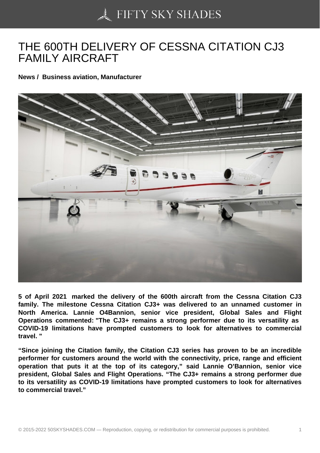## [THE 600TH DELIVERY](https://50skyshades.com) OF CESSNA CITATION CJ3 FAMILY AIRCRAFT

News / Business aviation, Manufacturer

5 of April 2021 marked the delivery of the 600th aircraft from the Cessna Citation CJ3 family. The milestone Cessna Citation CJ3+ was delivered to an unnamed customer in North America. Lannie O4Bannion, senior vice president, Global Sales and Flight Operations commented: "The CJ3+ remains a strong performer due to its versatility as COVID-19 limitations have prompted customers to look for alternatives to commercial travel. "

"Since joining the Citation family, the Citation CJ3 series has proven to be an incredible performer for customers around the world with the connectivity, price, range and efficient operation that puts it at the top of its category," said Lannie O'Bannion, senior vice president, Global Sales and Flight Operations. "The CJ3+ remains a strong performer due to its versatility as COVID-19 limitations have prompted customers to look for alternatives to commercial travel."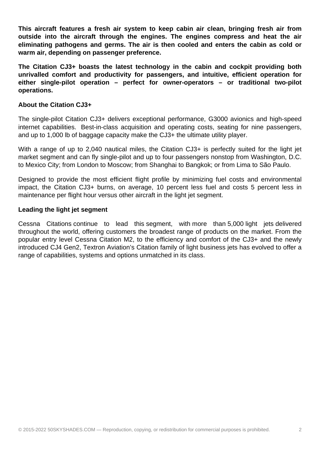**This aircraft features a fresh air system to keep cabin air clean, bringing fresh air from outside into the aircraft through the engines. The engines compress and heat the air eliminating pathogens and germs. The air is then cooled and enters the cabin as cold or warm air, depending on passenger preference.**

**The Citation CJ3+ boasts the latest technology in the cabin and cockpit providing both unrivalled comfort and productivity for passengers, and intuitive, efficient operation for either single-pilot operation – perfect for owner-operators – or traditional two-pilot operations.** 

## **About the Citation CJ3+**

The single-pilot Citation CJ3+ delivers exceptional performance, G3000 avionics and high-speed internet capabilities. Best-in-class acquisition and operating costs, seating for nine passengers, and up to 1,000 lb of baggage capacity make the CJ3+ the ultimate utility player.

With a range of up to 2,040 nautical miles, the Citation CJ3+ is perfectly suited for the light jet market segment and can fly single-pilot and up to four passengers nonstop from Washington, D.C. to Mexico City; from London to Moscow; from Shanghai to Bangkok; or from Lima to São Paulo.

Designed to provide the most efficient flight profile by minimizing fuel costs and environmental impact, the Citation CJ3+ burns, on average, 10 percent less fuel and costs 5 percent less in maintenance per flight hour versus other aircraft in the light jet segment.

## **Leading the light jet segment**

Cessna Citations continue to lead this segment, with more than 5,000 light jets delivered throughout the world, offering customers the broadest range of products on the market. From the popular entry level Cessna Citation M2, to the efficiency and comfort of the CJ3+ and the newly introduced CJ4 Gen2, Textron Aviation's Citation family of light business jets has evolved to offer a range of capabilities, systems and options unmatched in its class.